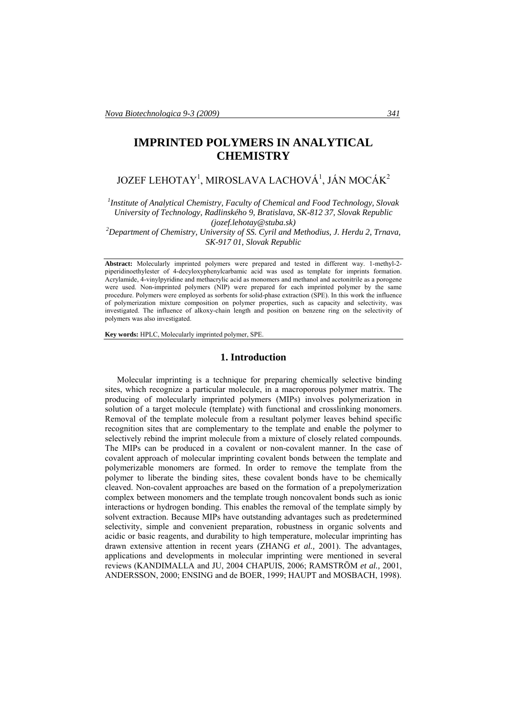# **IMPRINTED POLYMERS IN ANALYTICAL CHEMISTRY**

# JOZEF LEHOTAY $^1$ , MIROSLAVA LACHOVÁ $^1$ , JÁN MOCÁK $^2$

*1 Institute of Analytical Chemistry, Faculty of Chemical and Food Technology, Slovak University of Technology, Radlinského 9, Bratislava, SK-812 37, Slovak Republic (jozef.lehotay@stuba.sk) 2 Department of Chemistry, University of SS. Cyril and Methodius, J. Herdu 2, Trnava,* 

*SK-917 01, Slovak Republic* 

**Abstract:** Molecularly imprinted polymers were prepared and tested in different way. 1-methyl-2 piperidinoethylester of 4-decyloxyphenylcarbamic acid was used as template for imprints formation. Acrylamide, 4-vinylpyridine and methacrylic acid as monomers and methanol and acetonitrile as a porogene were used. Non-imprinted polymers (NIP) were prepared for each imprinted polymer by the same procedure. Polymers were employed as sorbents for solid-phase extraction (SPE). In this work the influence of polymerization mixture composition on polymer properties, such as capacity and selectivity, was investigated. The influence of alkoxy-chain length and position on benzene ring on the selectivity of polymers was also investigated.

**Key words:** HPLC, Molecularly imprinted polymer, SPE.

#### **1. Introduction**

Molecular imprinting is a technique for preparing chemically selective binding sites, which recognize a particular molecule, in a macroporous polymer matrix. The producing of molecularly imprinted polymers (MIPs) involves polymerization in solution of a target molecule (template) with functional and crosslinking monomers. Removal of the template molecule from a resultant polymer leaves behind specific recognition sites that are complementary to the template and enable the polymer to selectively rebind the imprint molecule from a mixture of closely related compounds. The MIPs can be produced in a covalent or non-covalent manner. In the case of covalent approach of molecular imprinting covalent bonds between the template and polymerizable monomers are formed. In order to remove the template from the polymer to liberate the binding sites, these covalent bonds have to be chemically cleaved. Non-covalent approaches are based on the formation of a prepolymerization complex between monomers and the template trough noncovalent bonds such as ionic interactions or hydrogen bonding. This enables the removal of the template simply by solvent extraction. Because MIPs have outstanding advantages such as predetermined selectivity, simple and convenient preparation, robustness in organic solvents and acidic or basic reagents, and durability to high temperature, molecular imprinting has drawn extensive attention in recent years (ZHANG *et al.,* 2001). The advantages, applications and developments in molecular imprinting were mentioned in several reviews (KANDIMALLA and JU, 2004 CHAPUIS, 2006; RAMSTRÖM *et al.,* 2001, ANDERSSON, 2000; ENSING and de BOER, 1999; HAUPT and MOSBACH, 1998).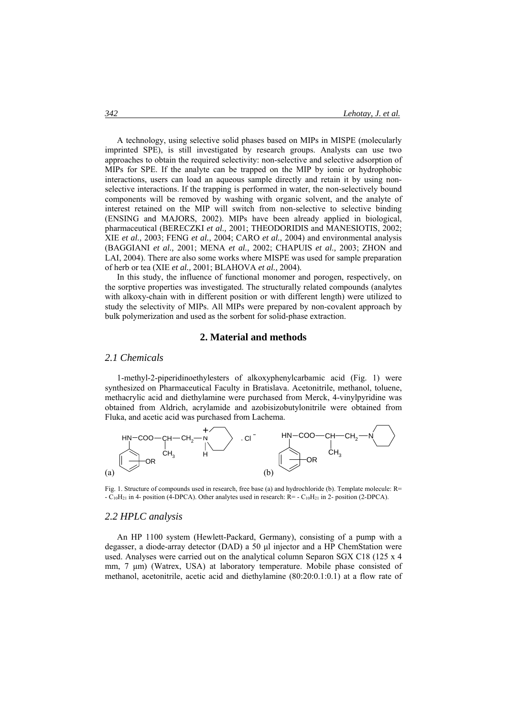A technology, using selective solid phases based on MIPs in MISPE (molecularly imprinted SPE), is still investigated by research groups. Analysts can use two approaches to obtain the required selectivity: non-selective and selective adsorption of MIPs for SPE. If the analyte can be trapped on the MIP by ionic or hydrophobic interactions, users can load an aqueous sample directly and retain it by using nonselective interactions. If the trapping is performed in water, the non-selectively bound components will be removed by washing with organic solvent, and the analyte of interest retained on the MIP will switch from non-selective to selective binding (ENSING and MAJORS, 2002). MIPs have been already applied in biological, pharmaceutical (BERECZKI *et al.,* 2001; THEODORIDIS and MANESIOTIS, 2002; XIE *et al.,* 2003; FENG *et al.,* 2004; CARO *et al.,* 2004) and environmental analysis (BAGGIANI *et al.,* 2001; MENA *et al.,* 2002; CHAPUIS *et al.,* 2003; ZHON and LAI, 2004). There are also some works where MISPE was used for sample preparation of herb or tea (XIE *et al.,* 2001; BLAHOVA *et al.,* 2004).

In this study, the influence of functional monomer and porogen, respectively, on the sorptive properties was investigated. The structurally related compounds (analytes with alkoxy-chain with in different position or with different length) were utilized to study the selectivity of MIPs. All MIPs were prepared by non-covalent approach by bulk polymerization and used as the sorbent for solid-phase extraction.

### **2. Material and methods**

#### *2.1 Chemicals*

1-methyl-2-piperidinoethylesters of alkoxyphenylcarbamic acid (Fig. 1) were synthesized on Pharmaceutical Faculty in Bratislava. Acetonitrile, methanol, toluene, methacrylic acid and diethylamine were purchased from Merck, 4-vinylpyridine was obtained from Aldrich, acrylamide and azobisizobutylonitrile were obtained from Fluka, and acetic acid was purchased from Lachema.



Fig. 1. Structure of compounds used in research, free base (a) and hydrochloride (b). Template molecule: R=  $-C_{10}H_{21}$  in 4- position (4-DPCA). Other analytes used in research:  $R = -C_{10}H_{21}$  in 2- position (2-DPCA).

# *2.2 HPLC analysis*

An HP 1100 system (Hewlett-Packard, Germany), consisting of a pump with a degasser, a diode-array detector (DAD) a 50 μl injector and a HP ChemStation were used. Analyses were carried out on the analytical column Separon SGX C18 (125 x 4 mm, 7 μm) (Watrex, USA) at laboratory temperature. Mobile phase consisted of methanol, acetonitrile, acetic acid and diethylamine (80:20:0.1:0.1) at a flow rate of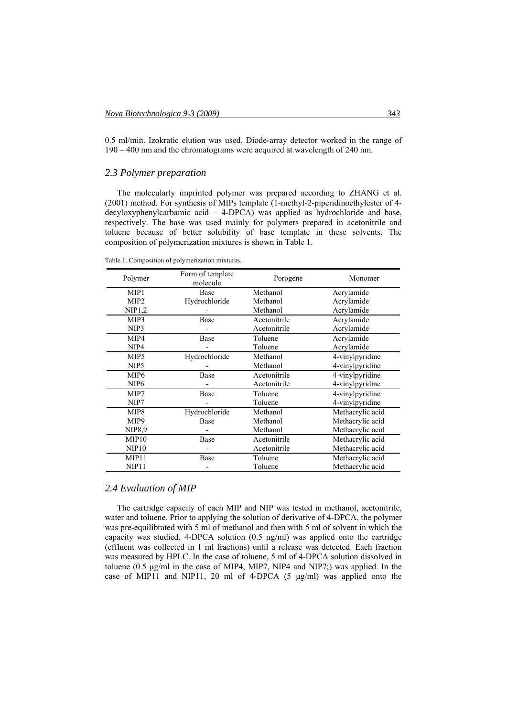0.5 ml/min. Izokratic elution was used. Diode-array detector worked in the range of 190 – 400 nm and the chromatograms were acquired at wavelength of 240 nm.

# *2.3 Polymer preparation*

The molecularly imprinted polymer was prepared according to ZHANG et al. (2001) method. For synthesis of MIPs template (1-methyl-2-piperidinoethylester of 4 decyloxyphenylcarbamic acid – 4-DPCA) was applied as hydrochloride and base, respectively. The base was used mainly for polymers prepared in acetonitrile and toluene because of better solubility of base template in these solvents. The composition of polymerization mixtures is shown in Table 1.

Table 1. Composition of polymerization mixtures.

| Polymer           | Form of template<br>molecule | Porogene     | Monomer          |
|-------------------|------------------------------|--------------|------------------|
| MIP <sub>1</sub>  | Base                         | Methanol     | Acrylamide       |
| MIP <sub>2</sub>  | Hydrochloride                | Methanol     | Acrylamide       |
| NIP1,2            |                              | Methanol     | Acrylamide       |
| MIP3              | Base                         | Acetonitrile | Acrylamide       |
| NIP3              |                              | Acetonitrile | Acrylamide       |
| MIP4              | Base                         | Toluene      | Acrylamide       |
| NIP <sub>4</sub>  |                              | Toluene      | Acrylamide       |
| MIP <sub>5</sub>  | Hydrochloride                | Methanol     | 4-vinylpyridine  |
| NIP <sub>5</sub>  |                              | Methanol     | 4-vinylpyridine  |
| MIP <sub>6</sub>  | Base                         | Acetonitrile | 4-vinylpyridine  |
| NIP <sub>6</sub>  |                              | Acetonitrile | 4-vinylpyridine  |
| MIP7              | Base                         | Toluene      | 4-vinylpyridine  |
| NIP7              |                              | Toluene      | 4-vinylpyridine  |
| MIP8              | Hydrochloride                | Methanol     | Methacrylic acid |
| MIP9              | Base                         | Methanol     | Methacrylic acid |
| NIP8.9            |                              | Methanol     | Methacrylic acid |
| MIP10             | Base                         | Acetonitrile | Methacrylic acid |
| NIP10             |                              | Acetonitrile | Methacrylic acid |
| MIP <sub>11</sub> | Base                         | Toluene      | Methacrylic acid |
| NIP11             |                              | Toluene      | Methacrylic acid |

# *2.4 Evaluation of MIP*

The cartridge capacity of each MIP and NIP was tested in methanol, acetonitrile, water and toluene. Prior to applying the solution of derivative of 4-DPCA, the polymer was pre-equilibrated with 5 ml of methanol and then with 5 ml of solvent in which the capacity was studied. 4-DPCA solution  $(0.5 \text{ µg/ml})$  was applied onto the cartridge (effluent was collected in 1 ml fractions) until a release was detected. Each fraction was measured by HPLC. In the case of toluene, 5 ml of 4-DPCA solution dissolved in toluene (0.5 μg/ml in the case of MIP4, MIP7, NIP4 and NIP7;) was applied. In the case of MIP11 and NIP11, 20 ml of 4-DPCA (5 μg/ml) was applied onto the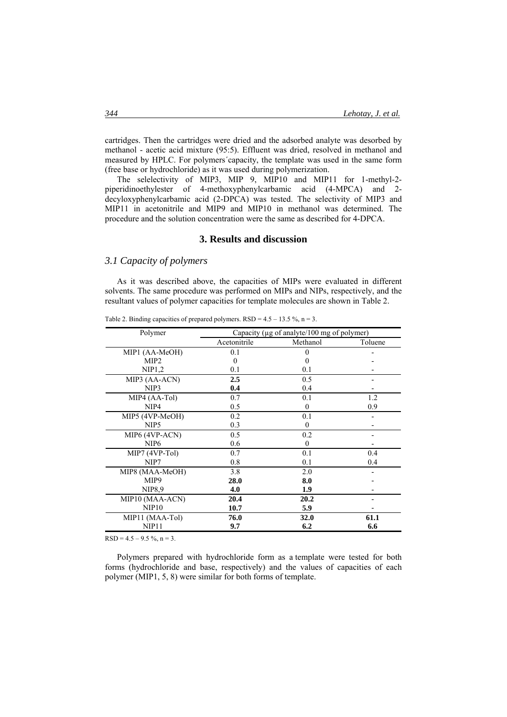cartridges. Then the cartridges were dried and the adsorbed analyte was desorbed by methanol - acetic acid mixture (95:5). Effluent was dried, resolved in methanol and measured by HPLC. For polymers´capacity, the template was used in the same form (free base or hydrochloride) as it was used during polymerization.

The selelectivity of MIP3, MIP 9, MIP10 and MIP11 for 1-methyl-2 piperidinoethylester of 4-methoxyphenylcarbamic acid (4-MPCA) and 2 decyloxyphenylcarbamic acid (2-DPCA) was tested. The selectivity of MIP3 and MIP11 in acetonitrile and MIP9 and MIP10 in methanol was determined. The procedure and the solution concentration were the same as described for 4-DPCA.

## **3. Results and discussion**

### *3.1 Capacity of polymers*

As it was described above, the capacities of MIPs were evaluated in different solvents. The same procedure was performed on MIPs and NIPs, respectively, and the resultant values of polymer capacities for template molecules are shown in Table 2.

| Polymer           | Capacity ( $\mu$ g of analyte/100 mg of polymer) |             |         |
|-------------------|--------------------------------------------------|-------------|---------|
|                   | Acetonitrile                                     | Methanol    | Toluene |
| MIP1 (AA-MeOH)    | 0.1                                              | 0           |         |
| MIP <sub>2</sub>  | $\Omega$                                         |             |         |
| NIP1,2            | 0.1                                              | 0.1         |         |
| MIP3 (AA-ACN)     | $2.5\,$                                          | 0.5         |         |
| NIP3              | 0.4                                              | 0.4         |         |
| MIP4 (AA-Tol)     | 0.7                                              | 0.1         | 1.2     |
| NIP4              | 0.5                                              | $\Omega$    | 0.9     |
| MIP5 (4VP-MeOH)   | 0.2                                              | 0.1         |         |
| NIP <sub>5</sub>  | 0.3                                              | $\Omega$    |         |
| MIP6 (4VP-ACN)    | 0.5                                              | 0.2         |         |
| NIP <sub>6</sub>  | 0.6                                              | $\Omega$    |         |
| MIP7 (4VP-Tol)    | 0.7                                              | 0.1         | 0.4     |
| NIP7              | 0.8                                              | 0.1         | 0.4     |
| MIP8 (MAA-MeOH)   | 3.8                                              | 2.0         |         |
| MIP9              | 28.0                                             | 8.0         |         |
| NIP8,9            | 4.0                                              | 1.9         |         |
| MIP10 (MAA-ACN)   | 20.4                                             | 20.2        |         |
| NIP10             | 10.7                                             | 5.9         |         |
| MIP11 (MAA-Tol)   | 76.0                                             | <b>32.0</b> | 61.1    |
| NIP <sub>11</sub> | 9.7                                              | 6.2         | 6.6     |

Table 2. Binding capacities of prepared polymers.  $RSD = 4.5 - 13.5 \%$ , n = 3.

 $RSD = 4.5 - 9.5 \%$ ,  $n = 3$ .

Polymers prepared with hydrochloride form as a template were tested for both forms (hydrochloride and base, respectively) and the values of capacities of each polymer (MIP1, 5, 8) were similar for both forms of template.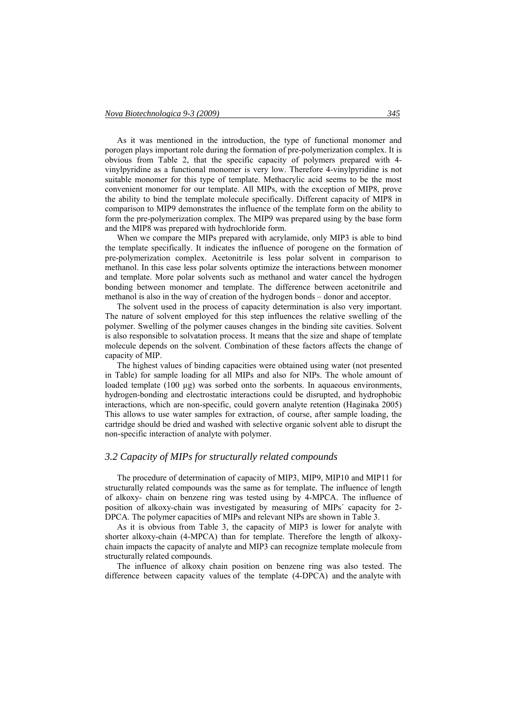As it was mentioned in the introduction, the type of functional monomer and porogen plays important role during the formation of pre-polymerization complex. It is obvious from Table 2, that the specific capacity of polymers prepared with 4 vinylpyridine as a functional monomer is very low. Therefore 4-vinylpyridine is not suitable monomer for this type of template. Methacrylic acid seems to be the most convenient monomer for our template. All MIPs, with the exception of MIP8, prove the ability to bind the template molecule specifically. Different capacity of MIP8 in comparison to MIP9 demonstrates the influence of the template form on the ability to form the pre-polymerization complex. The MIP9 was prepared using by the base form and the MIP8 was prepared with hydrochloride form.

When we compare the MIPs prepared with acrylamide, only MIP3 is able to bind the template specifically. It indicates the influence of porogene on the formation of pre-polymerization complex. Acetonitrile is less polar solvent in comparison to methanol. In this case less polar solvents optimize the interactions between monomer and template. More polar solvents such as methanol and water cancel the hydrogen bonding between monomer and template. The difference between acetonitrile and methanol is also in the way of creation of the hydrogen bonds – donor and acceptor.

The solvent used in the process of capacity determination is also very important. The nature of solvent employed for this step influences the relative swelling of the polymer. Swelling of the polymer causes changes in the binding site cavities. Solvent is also responsible to solvatation process. It means that the size and shape of template molecule depends on the solvent. Combination of these factors affects the change of capacity of MIP.

The highest values of binding capacities were obtained using water (not presented in Table) for sample loading for all MIPs and also for NIPs. The whole amount of loaded template  $(100 \mu g)$  was sorbed onto the sorbents. In aquaeous environments, hydrogen-bonding and electrostatic interactions could be disrupted, and hydrophobic interactions, which are non-specific, could govern analyte retention (Haginaka 2005) This allows to use water samples for extraction, of course, after sample loading, the cartridge should be dried and washed with selective organic solvent able to disrupt the non-specific interaction of analyte with polymer.

### *3.2 Capacity of MIPs for structurally related compounds*

The procedure of determination of capacity of MIP3, MIP9, MIP10 and MIP11 for structurally related compounds was the same as for template. The influence of length of alkoxy- chain on benzene ring was tested using by 4-MPCA. The influence of position of alkoxy-chain was investigated by measuring of MIPs´ capacity for 2- DPCA. The polymer capacities of MIPs and relevant NIPs are shown in Table 3.

As it is obvious from Table 3, the capacity of MIP3 is lower for analyte with shorter alkoxy-chain (4-MPCA) than for template. Therefore the length of alkoxychain impacts the capacity of analyte and MIP3 can recognize template molecule from structurally related compounds.

The influence of alkoxy chain position on benzene ring was also tested. The difference between capacity values of the template (4-DPCA) and the analyte with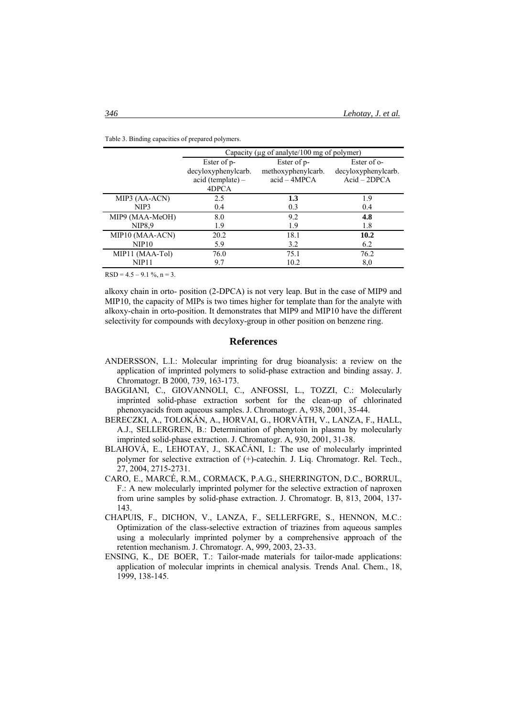|                 | Capacity ( $\mu$ g of analyte/100 mg of polymer) |                    |                     |  |
|-----------------|--------------------------------------------------|--------------------|---------------------|--|
|                 | Ester of p-                                      | Ester of p-        | Ester of o-         |  |
|                 | decyloxyphenylcarb.                              | methoxyphenylcarb. | decyloxyphenylcarb. |  |
|                 | acid (template) –                                | $acid - 4MPCA$     | $Acid - 2DPCA$      |  |
|                 | 4DPCA                                            |                    |                     |  |
| MIP3 (AA-ACN)   | 2.5                                              | 1.3                | 1.9                 |  |
| NIP3            | 0.4                                              | 0.3                | 0.4                 |  |
| MIP9 (MAA-MeOH) | 8.0                                              | 9.2                | 4.8                 |  |
| <b>NIP8.9</b>   | 1.9                                              | 1.9                | 1.8                 |  |
| MIP10 (MAA-ACN) | 20.2                                             | 18.1               | 10.2                |  |
| NIP10           | 5.9                                              | 3.2                | 6.2                 |  |
| MIP11 (MAA-Tol) | 76.0                                             | 75.1               | 76.2                |  |
| NIP11           | 9.7                                              | 10.2               | 8,0                 |  |

Table 3. Binding capacities of prepared polymers.

 $RSD = 4.5 - 9.1 %$ , n = 3.

alkoxy chain in orto- position (2-DPCA) is not very leap. But in the case of MIP9 and MIP10, the capacity of MIPs is two times higher for template than for the analyte with alkoxy-chain in orto-position. It demonstrates that MIP9 and MIP10 have the different selectivity for compounds with decyloxy-group in other position on benzene ring.

#### **References**

- ANDERSSON, L.I.: Molecular imprinting for drug bioanalysis: a review on the application of imprinted polymers to solid-phase extraction and binding assay. J. Chromatogr. B 2000, 739, 163-173.
- BAGGIANI, C., GIOVANNOLI, C., ANFOSSI, L., TOZZI, C.: Molecularly imprinted solid-phase extraction sorbent for the clean-up of chlorinated phenoxyacids from aqueous samples. J. Chromatogr. A, 938, 2001, 35-44.
- BERECZKI, A., TOLOKÁN, A., HORVAI, G., HORVÁTH, V., LANZA, F., HALL, A.J., SELLERGREN, B.: Determination of phenytoin in plasma by molecularly imprinted solid-phase extraction. J. Chromatogr. A, 930, 2001, 31-38.
- BLAHOVÁ, E., LEHOTAY, J., SKAČÁNI, I.: The use of molecularly imprinted polymer for selective extraction of (+)-catechin. J. Liq. Chromatogr. Rel. Tech., 27, 2004, 2715-2731.
- CARO, E., MARCÉ, R.M., CORMACK, P.A.G., SHERRINGTON, D.C., BORRUL, F.: A new molecularly imprinted polymer for the selective extraction of naproxen from urine samples by solid-phase extraction. J. Chromatogr. B, 813, 2004, 137- 143.
- CHAPUIS, F., DICHON, V., LANZA, F., SELLERFGRE, S., HENNON, M.C.: Optimization of the class-selective extraction of triazines from aqueous samples using a molecularly imprinted polymer by a comprehensive approach of the retention mechanism. J. Chromatogr. A, 999, 2003, 23-33.
- ENSING, K., DE BOER, T.: Tailor-made materials for tailor-made applications: application of molecular imprints in chemical analysis. Trends Anal. Chem., 18, 1999, 138-145.